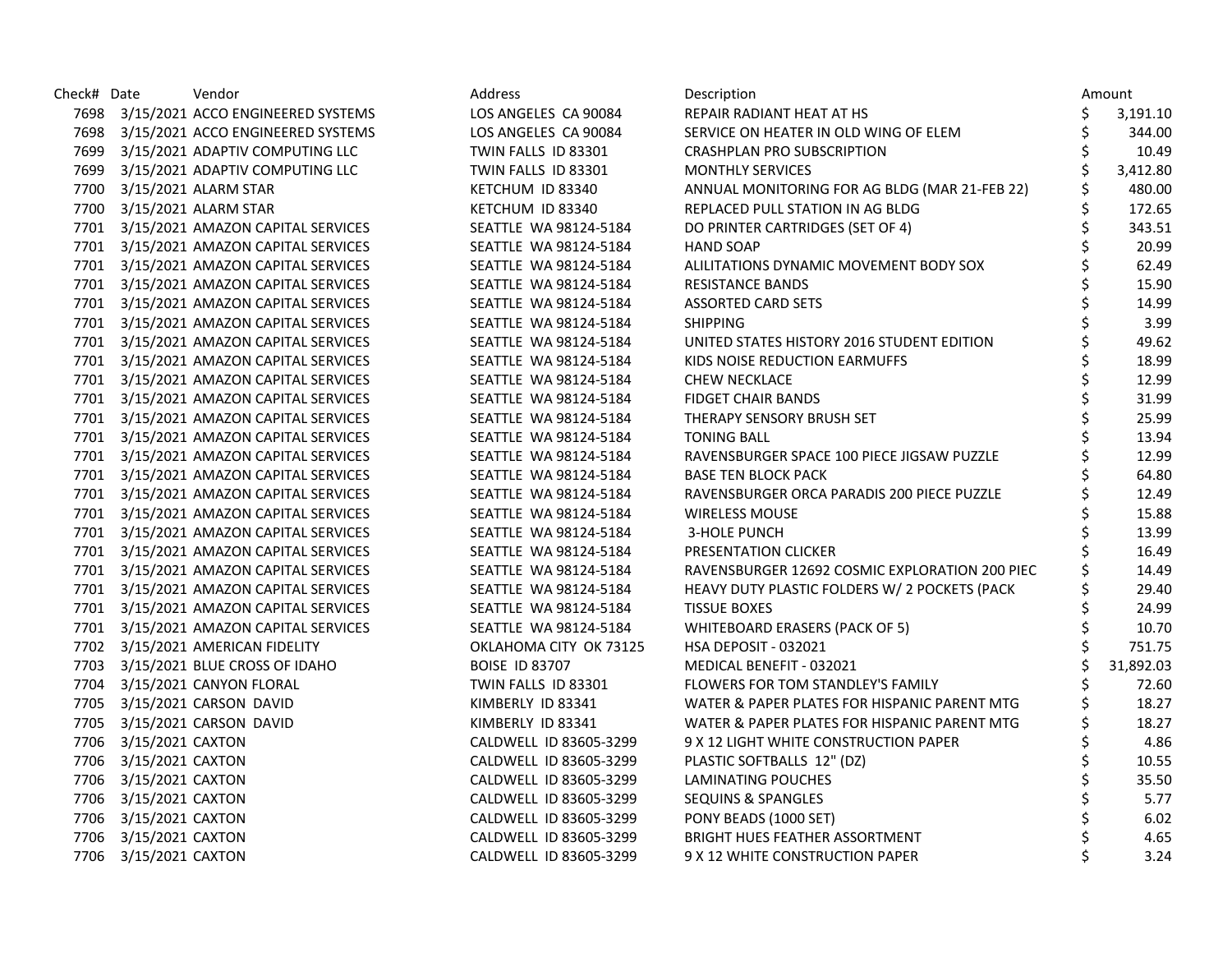| Check# Date |                       | Vendor                                 | Address                | Description                                    |    | Amount    |
|-------------|-----------------------|----------------------------------------|------------------------|------------------------------------------------|----|-----------|
|             |                       | 7698 3/15/2021 ACCO ENGINEERED SYSTEMS | LOS ANGELES CA 90084   | REPAIR RADIANT HEAT AT HS                      | \$ | 3,191.10  |
|             |                       | 7698 3/15/2021 ACCO ENGINEERED SYSTEMS | LOS ANGELES CA 90084   | SERVICE ON HEATER IN OLD WING OF ELEM          | \$ | 344.00    |
|             |                       | 7699 3/15/2021 ADAPTIV COMPUTING LLC   | TWIN FALLS ID 83301    | CRASHPLAN PRO SUBSCRIPTION                     | \$ | 10.49     |
|             |                       | 7699 3/15/2021 ADAPTIV COMPUTING LLC   | TWIN FALLS ID 83301    | <b>MONTHLY SERVICES</b>                        | \$ | 3,412.80  |
|             |                       | 7700 3/15/2021 ALARM STAR              | KETCHUM ID 83340       | ANNUAL MONITORING FOR AG BLDG (MAR 21-FEB 22)  |    | 480.00    |
|             |                       | 7700 3/15/2021 ALARM STAR              | KETCHUM ID 83340       | REPLACED PULL STATION IN AG BLDG               | \$ | 172.65    |
|             |                       | 7701 3/15/2021 AMAZON CAPITAL SERVICES | SEATTLE WA 98124-5184  | DO PRINTER CARTRIDGES (SET OF 4)               | \$ | 343.51    |
|             |                       | 7701 3/15/2021 AMAZON CAPITAL SERVICES | SEATTLE WA 98124-5184  | <b>HAND SOAP</b>                               | \$ | 20.99     |
|             |                       | 7701 3/15/2021 AMAZON CAPITAL SERVICES | SEATTLE WA 98124-5184  | ALILITATIONS DYNAMIC MOVEMENT BODY SOX         | \$ | 62.49     |
|             |                       | 7701 3/15/2021 AMAZON CAPITAL SERVICES | SEATTLE WA 98124-5184  | <b>RESISTANCE BANDS</b>                        | \$ | 15.90     |
|             |                       | 7701 3/15/2021 AMAZON CAPITAL SERVICES | SEATTLE WA 98124-5184  | <b>ASSORTED CARD SETS</b>                      |    | 14.99     |
|             |                       | 7701 3/15/2021 AMAZON CAPITAL SERVICES | SEATTLE WA 98124-5184  | <b>SHIPPING</b>                                |    | 3.99      |
|             |                       | 7701 3/15/2021 AMAZON CAPITAL SERVICES | SEATTLE WA 98124-5184  | UNITED STATES HISTORY 2016 STUDENT EDITION     |    | 49.62     |
|             |                       | 7701 3/15/2021 AMAZON CAPITAL SERVICES | SEATTLE WA 98124-5184  | KIDS NOISE REDUCTION EARMUFFS                  | \$ | 18.99     |
|             |                       | 7701 3/15/2021 AMAZON CAPITAL SERVICES | SEATTLE WA 98124-5184  | <b>CHEW NECKLACE</b>                           | \$ | 12.99     |
|             |                       | 7701 3/15/2021 AMAZON CAPITAL SERVICES | SEATTLE WA 98124-5184  | <b>FIDGET CHAIR BANDS</b>                      | \$ | 31.99     |
|             |                       | 7701 3/15/2021 AMAZON CAPITAL SERVICES | SEATTLE WA 98124-5184  | THERAPY SENSORY BRUSH SET                      |    | 25.99     |
|             |                       | 7701 3/15/2021 AMAZON CAPITAL SERVICES | SEATTLE WA 98124-5184  | <b>TONING BALL</b>                             |    | 13.94     |
|             |                       | 7701 3/15/2021 AMAZON CAPITAL SERVICES | SEATTLE WA 98124-5184  | RAVENSBURGER SPACE 100 PIECE JIGSAW PUZZLE     |    | 12.99     |
|             |                       | 7701 3/15/2021 AMAZON CAPITAL SERVICES | SEATTLE WA 98124-5184  | <b>BASE TEN BLOCK PACK</b>                     |    | 64.80     |
|             |                       | 7701 3/15/2021 AMAZON CAPITAL SERVICES | SEATTLE WA 98124-5184  | RAVENSBURGER ORCA PARADIS 200 PIECE PUZZLE     | \$ | 12.49     |
|             |                       | 7701 3/15/2021 AMAZON CAPITAL SERVICES | SEATTLE WA 98124-5184  | <b>WIRELESS MOUSE</b>                          | \$ | 15.88     |
|             |                       | 7701 3/15/2021 AMAZON CAPITAL SERVICES | SEATTLE WA 98124-5184  | <b>3-HOLE PUNCH</b>                            |    | 13.99     |
|             |                       | 7701 3/15/2021 AMAZON CAPITAL SERVICES | SEATTLE WA 98124-5184  | PRESENTATION CLICKER                           |    | 16.49     |
|             |                       | 7701 3/15/2021 AMAZON CAPITAL SERVICES | SEATTLE WA 98124-5184  | RAVENSBURGER 12692 COSMIC EXPLORATION 200 PIEC |    | 14.49     |
|             |                       | 7701 3/15/2021 AMAZON CAPITAL SERVICES | SEATTLE WA 98124-5184  | HEAVY DUTY PLASTIC FOLDERS W/ 2 POCKETS (PACK  |    | 29.40     |
|             |                       | 7701 3/15/2021 AMAZON CAPITAL SERVICES | SEATTLE WA 98124-5184  | <b>TISSUE BOXES</b>                            | \$ | 24.99     |
|             |                       | 7701 3/15/2021 AMAZON CAPITAL SERVICES | SEATTLE WA 98124-5184  | WHITEBOARD ERASERS (PACK OF 5)                 | \$ | 10.70     |
|             |                       | 7702 3/15/2021 AMERICAN FIDELITY       | OKLAHOMA CITY OK 73125 | HSA DEPOSIT - 032021                           |    | 751.75    |
|             |                       | 7703 3/15/2021 BLUE CROSS OF IDAHO     | <b>BOISE ID 83707</b>  | MEDICAL BENEFIT - 032021                       | Ś  | 31,892.03 |
|             |                       | 7704 3/15/2021 CANYON FLORAL           | TWIN FALLS ID 83301    | FLOWERS FOR TOM STANDLEY'S FAMILY              | \$ | 72.60     |
|             |                       | 7705 3/15/2021 CARSON DAVID            | KIMBERLY ID 83341      | WATER & PAPER PLATES FOR HISPANIC PARENT MTG   | \$ | 18.27     |
|             |                       | 7705 3/15/2021 CARSON DAVID            | KIMBERLY ID 83341      | WATER & PAPER PLATES FOR HISPANIC PARENT MTG   | \$ | 18.27     |
|             | 7706 3/15/2021 CAXTON |                                        | CALDWELL ID 83605-3299 | 9 X 12 LIGHT WHITE CONSTRUCTION PAPER          | \$ | 4.86      |
|             | 7706 3/15/2021 CAXTON |                                        | CALDWELL ID 83605-3299 | PLASTIC SOFTBALLS 12" (DZ)                     | \$ | 10.55     |
|             | 7706 3/15/2021 CAXTON |                                        | CALDWELL ID 83605-3299 | LAMINATING POUCHES                             | \$ | 35.50     |
|             | 7706 3/15/2021 CAXTON |                                        | CALDWELL ID 83605-3299 | SEQUINS & SPANGLES                             | \$ | 5.77      |
|             | 7706 3/15/2021 CAXTON |                                        | CALDWELL ID 83605-3299 | PONY BEADS (1000 SET)                          |    | 6.02      |
|             | 7706 3/15/2021 CAXTON |                                        | CALDWELL ID 83605-3299 | <b>BRIGHT HUES FEATHER ASSORTMENT</b>          |    | 4.65      |
|             | 7706 3/15/2021 CAXTON |                                        | CALDWELL ID 83605-3299 | 9 X 12 WHITE CONSTRUCTION PAPER                | \$ | 3.24      |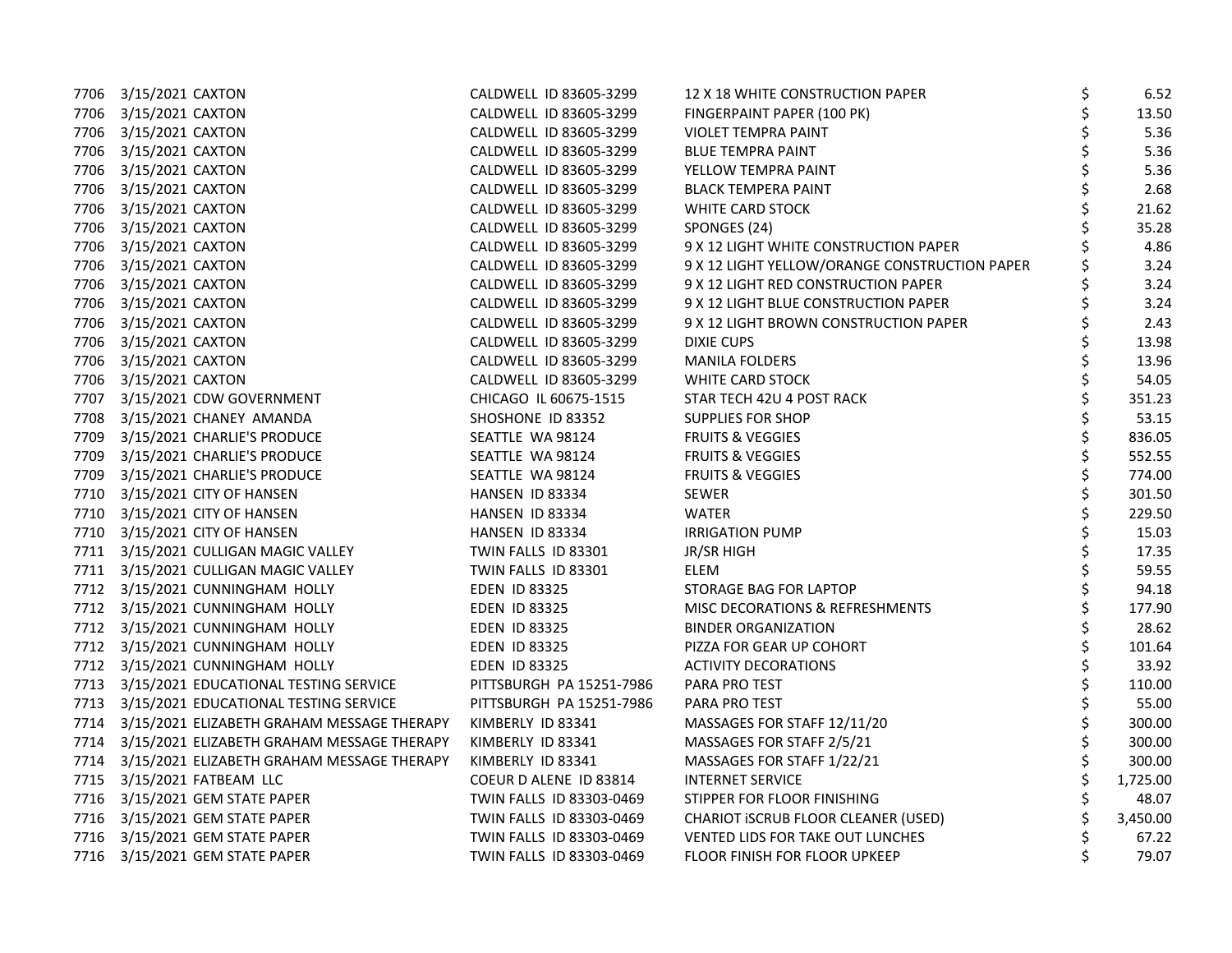| 7706 3/15/2021 CAXTON                                             | CALDWELL ID 83605-3299   | 12 X 18 WHITE CONSTRUCTION PAPER              | \$<br>6.52     |
|-------------------------------------------------------------------|--------------------------|-----------------------------------------------|----------------|
| 7706 3/15/2021 CAXTON                                             | CALDWELL ID 83605-3299   | FINGERPAINT PAPER (100 PK)                    | \$<br>13.50    |
| 7706 3/15/2021 CAXTON                                             | CALDWELL ID 83605-3299   | VIOLET TEMPRA PAINT                           | 5.36           |
| 7706 3/15/2021 CAXTON                                             | CALDWELL ID 83605-3299   | <b>BLUE TEMPRA PAINT</b>                      | \$<br>5.36     |
| 7706 3/15/2021 CAXTON                                             | CALDWELL ID 83605-3299   | YELLOW TEMPRA PAINT                           | \$<br>5.36     |
| 7706 3/15/2021 CAXTON                                             | CALDWELL ID 83605-3299   | <b>BLACK TEMPERA PAINT</b>                    | \$<br>2.68     |
| 7706 3/15/2021 CAXTON                                             | CALDWELL ID 83605-3299   | <b>WHITE CARD STOCK</b>                       | \$<br>21.62    |
| 7706 3/15/2021 CAXTON                                             | CALDWELL ID 83605-3299   | SPONGES (24)                                  | \$<br>35.28    |
| 7706 3/15/2021 CAXTON                                             | CALDWELL ID 83605-3299   | 9 X 12 LIGHT WHITE CONSTRUCTION PAPER         | 4.86           |
| 7706 3/15/2021 CAXTON                                             | CALDWELL ID 83605-3299   | 9 X 12 LIGHT YELLOW/ORANGE CONSTRUCTION PAPER | 3.24           |
| 7706 3/15/2021 CAXTON                                             | CALDWELL ID 83605-3299   | 9 X 12 LIGHT RED CONSTRUCTION PAPER           | \$<br>3.24     |
| 7706 3/15/2021 CAXTON                                             | CALDWELL ID 83605-3299   | 9 X 12 LIGHT BLUE CONSTRUCTION PAPER          | \$<br>3.24     |
| 7706 3/15/2021 CAXTON                                             | CALDWELL ID 83605-3299   | 9 X 12 LIGHT BROWN CONSTRUCTION PAPER         | \$<br>2.43     |
| 7706 3/15/2021 CAXTON                                             | CALDWELL ID 83605-3299   | <b>DIXIE CUPS</b>                             | \$<br>13.98    |
| 7706 3/15/2021 CAXTON                                             | CALDWELL ID 83605-3299   | <b>MANILA FOLDERS</b>                         | \$<br>13.96    |
| 7706 3/15/2021 CAXTON                                             | CALDWELL ID 83605-3299   | <b>WHITE CARD STOCK</b>                       | \$<br>54.05    |
| 7707 3/15/2021 CDW GOVERNMENT                                     | CHICAGO IL 60675-1515    | STAR TECH 42U 4 POST RACK                     | \$<br>351.23   |
| 7708 3/15/2021 CHANEY AMANDA                                      | SHOSHONE ID 83352        | SUPPLIES FOR SHOP                             | \$<br>53.15    |
| 7709 3/15/2021 CHARLIE'S PRODUCE                                  | SEATTLE WA 98124         | <b>FRUITS &amp; VEGGIES</b>                   | \$<br>836.05   |
| 7709 3/15/2021 CHARLIE'S PRODUCE                                  | SEATTLE WA 98124         | <b>FRUITS &amp; VEGGIES</b>                   | \$<br>552.55   |
| 7709 3/15/2021 CHARLIE'S PRODUCE                                  | SEATTLE WA 98124         | <b>FRUITS &amp; VEGGIES</b>                   | \$<br>774.00   |
| 7710 3/15/2021 CITY OF HANSEN                                     | HANSEN ID 83334          | <b>SEWER</b>                                  | \$<br>301.50   |
| 7710 3/15/2021 CITY OF HANSEN                                     | HANSEN ID 83334          | <b>WATER</b>                                  | \$<br>229.50   |
| 7710 3/15/2021 CITY OF HANSEN                                     | HANSEN ID 83334          | <b>IRRIGATION PUMP</b>                        | \$<br>15.03    |
| 7711 3/15/2021 CULLIGAN MAGIC VALLEY                              | TWIN FALLS ID 83301      | JR/SR HIGH                                    | \$<br>17.35    |
| 7711 3/15/2021 CULLIGAN MAGIC VALLEY                              | TWIN FALLS ID 83301      | ELEM                                          | \$<br>59.55    |
| 7712 3/15/2021 CUNNINGHAM HOLLY                                   | EDEN ID 83325            | STORAGE BAG FOR LAPTOP                        | \$<br>94.18    |
| 7712 3/15/2021 CUNNINGHAM HOLLY                                   | <b>EDEN ID 83325</b>     | MISC DECORATIONS & REFRESHMENTS               | \$<br>177.90   |
| 7712 3/15/2021 CUNNINGHAM HOLLY                                   | EDEN ID 83325            | <b>BINDER ORGANIZATION</b>                    | \$<br>28.62    |
| 7712 3/15/2021 CUNNINGHAM HOLLY                                   | EDEN ID 83325            | PIZZA FOR GEAR UP COHORT                      | \$<br>101.64   |
| 7712 3/15/2021 CUNNINGHAM HOLLY                                   | <b>EDEN ID 83325</b>     | <b>ACTIVITY DECORATIONS</b>                   | \$<br>33.92    |
| 7713 3/15/2021 EDUCATIONAL TESTING SERVICE                        | PITTSBURGH PA 15251-7986 | PARA PRO TEST                                 | \$<br>110.00   |
| 7713 3/15/2021 EDUCATIONAL TESTING SERVICE                        | PITTSBURGH PA 15251-7986 | PARA PRO TEST                                 | \$<br>55.00    |
| 7714 3/15/2021 ELIZABETH GRAHAM MESSAGE THERAPY KIMBERLY ID 83341 |                          | MASSAGES FOR STAFF 12/11/20                   | \$<br>300.00   |
| 7714 3/15/2021 ELIZABETH GRAHAM MESSAGE THERAPY KIMBERLY ID 83341 |                          | MASSAGES FOR STAFF 2/5/21                     | \$<br>300.00   |
| 7714 3/15/2021 ELIZABETH GRAHAM MESSAGE THERAPY                   | KIMBERLY ID 83341        | MASSAGES FOR STAFF 1/22/21                    | \$<br>300.00   |
| 7715 3/15/2021 FATBEAM LLC                                        | COEUR D ALENE ID 83814   | <b>INTERNET SERVICE</b>                       | \$<br>1,725.00 |
| 7716 3/15/2021 GEM STATE PAPER                                    | TWIN FALLS ID 83303-0469 | STIPPER FOR FLOOR FINISHING                   | \$<br>48.07    |
| 7716 3/15/2021 GEM STATE PAPER                                    | TWIN FALLS ID 83303-0469 | CHARIOT ISCRUB FLOOR CLEANER (USED)           | \$<br>3,450.00 |
| 7716 3/15/2021 GEM STATE PAPER                                    | TWIN FALLS ID 83303-0469 | VENTED LIDS FOR TAKE OUT LUNCHES              | \$<br>67.22    |
| 7716 3/15/2021 GEM STATE PAPER                                    | TWIN FALLS ID 83303-0469 | <b>FLOOR FINISH FOR FLOOR UPKEEP</b>          | \$<br>79.07    |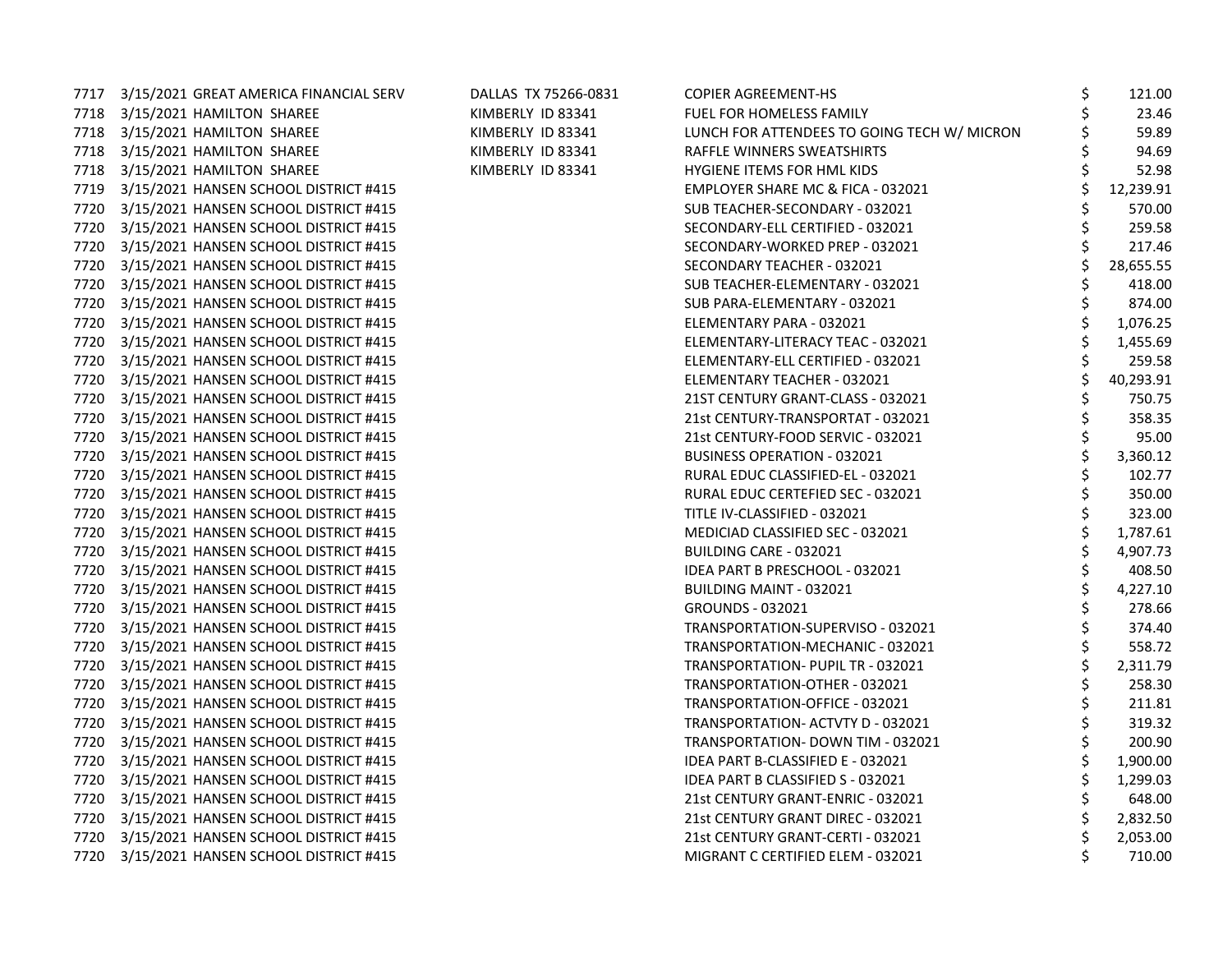|      | 7717 3/15/2021 GREAT AMERICA FINANCIAL SERV | DALLAS TX 75266-0831 | <b>COPIER AGREEMENT-HS</b>                  | \$<br>121.00    |
|------|---------------------------------------------|----------------------|---------------------------------------------|-----------------|
|      | 7718 3/15/2021 HAMILTON SHAREE              | KIMBERLY ID 83341    | FUEL FOR HOMELESS FAMILY                    | 23.46           |
| 7718 | 3/15/2021 HAMILTON SHAREE                   | KIMBERLY ID 83341    | LUNCH FOR ATTENDEES TO GOING TECH W/ MICRON | 59.89           |
| 7718 | 3/15/2021 HAMILTON SHAREE                   | KIMBERLY ID 83341    | RAFFLE WINNERS SWEATSHIRTS                  | 94.69           |
|      | 7718 3/15/2021 HAMILTON SHAREE              | KIMBERLY ID 83341    | HYGIENE ITEMS FOR HML KIDS                  | 52.98           |
| 7719 | 3/15/2021 HANSEN SCHOOL DISTRICT #415       |                      | EMPLOYER SHARE MC & FICA - 032021           | 12,239.91       |
| 7720 | 3/15/2021 HANSEN SCHOOL DISTRICT #415       |                      | SUB TEACHER-SECONDARY - 032021              | 570.00          |
| 7720 | 3/15/2021 HANSEN SCHOOL DISTRICT #415       |                      | SECONDARY-ELL CERTIFIED - 032021            | 259.58          |
| 7720 | 3/15/2021 HANSEN SCHOOL DISTRICT #415       |                      | SECONDARY-WORKED PREP - 032021              | \$<br>217.46    |
| 7720 | 3/15/2021 HANSEN SCHOOL DISTRICT #415       |                      | SECONDARY TEACHER - 032021                  | \$<br>28,655.55 |
| 7720 | 3/15/2021 HANSEN SCHOOL DISTRICT #415       |                      | SUB TEACHER-ELEMENTARY - 032021             | \$<br>418.00    |
| 7720 | 3/15/2021 HANSEN SCHOOL DISTRICT #415       |                      | SUB PARA-ELEMENTARY - 032021                | 874.00          |
| 7720 | 3/15/2021 HANSEN SCHOOL DISTRICT #415       |                      | ELEMENTARY PARA - 032021                    | 1,076.25        |
| 7720 | 3/15/2021 HANSEN SCHOOL DISTRICT #415       |                      | ELEMENTARY-LITERACY TEAC - 032021           | 1,455.69        |
| 7720 | 3/15/2021 HANSEN SCHOOL DISTRICT #415       |                      | ELEMENTARY-ELL CERTIFIED - 032021           | \$<br>259.58    |
| 7720 | 3/15/2021 HANSEN SCHOOL DISTRICT #415       |                      | ELEMENTARY TEACHER - 032021                 | \$<br>40,293.91 |
| 7720 | 3/15/2021 HANSEN SCHOOL DISTRICT #415       |                      | 21ST CENTURY GRANT-CLASS - 032021           | \$<br>750.75    |
| 7720 | 3/15/2021 HANSEN SCHOOL DISTRICT #415       |                      | 21st CENTURY-TRANSPORTAT - 032021           | \$<br>358.35    |
| 7720 | 3/15/2021 HANSEN SCHOOL DISTRICT #415       |                      | 21st CENTURY-FOOD SERVIC - 032021           | \$<br>95.00     |
| 7720 | 3/15/2021 HANSEN SCHOOL DISTRICT #415       |                      | <b>BUSINESS OPERATION - 032021</b>          | 3,360.12        |
| 7720 | 3/15/2021 HANSEN SCHOOL DISTRICT #415       |                      | RURAL EDUC CLASSIFIED-EL - 032021           | \$<br>102.77    |
| 7720 | 3/15/2021 HANSEN SCHOOL DISTRICT #415       |                      | RURAL EDUC CERTEFIED SEC - 032021           | \$<br>350.00    |
| 7720 | 3/15/2021 HANSEN SCHOOL DISTRICT #415       |                      | TITLE IV-CLASSIFIED - 032021                | 323.00          |
| 7720 | 3/15/2021 HANSEN SCHOOL DISTRICT #415       |                      | MEDICIAD CLASSIFIED SEC - 032021            | 1,787.61        |
| 7720 | 3/15/2021 HANSEN SCHOOL DISTRICT #415       |                      | BUILDING CARE - 032021                      | 4,907.73        |
| 7720 | 3/15/2021 HANSEN SCHOOL DISTRICT #415       |                      | IDEA PART B PRESCHOOL - 032021              | 408.50          |
| 7720 | 3/15/2021 HANSEN SCHOOL DISTRICT #415       |                      | <b>BUILDING MAINT - 032021</b>              | \$<br>4,227.10  |
| 7720 | 3/15/2021 HANSEN SCHOOL DISTRICT #415       |                      | <b>GROUNDS - 032021</b>                     | \$<br>278.66    |
| 7720 | 3/15/2021 HANSEN SCHOOL DISTRICT #415       |                      | TRANSPORTATION-SUPERVISO - 032021           | \$<br>374.40    |
| 7720 | 3/15/2021 HANSEN SCHOOL DISTRICT #415       |                      | TRANSPORTATION-MECHANIC - 032021            | 558.72          |
| 7720 | 3/15/2021 HANSEN SCHOOL DISTRICT #415       |                      | TRANSPORTATION- PUPIL TR - 032021           | 2,311.79        |
| 7720 | 3/15/2021 HANSEN SCHOOL DISTRICT #415       |                      | TRANSPORTATION-OTHER - 032021               | 258.30          |
| 7720 | 3/15/2021 HANSEN SCHOOL DISTRICT #415       |                      | TRANSPORTATION-OFFICE - 032021              | 211.81          |
| 7720 | 3/15/2021 HANSEN SCHOOL DISTRICT #415       |                      | TRANSPORTATION- ACTVTY D - 032021           | \$<br>319.32    |
| 7720 | 3/15/2021 HANSEN SCHOOL DISTRICT #415       |                      | TRANSPORTATION- DOWN TIM - 032021           | \$<br>200.90    |
| 7720 | 3/15/2021 HANSEN SCHOOL DISTRICT #415       |                      | IDEA PART B-CLASSIFIED E - 032021           | 1,900.00        |
| 7720 | 3/15/2021 HANSEN SCHOOL DISTRICT #415       |                      | IDEA PART B CLASSIFIED S - 032021           | 1,299.03        |
| 7720 | 3/15/2021 HANSEN SCHOOL DISTRICT #415       |                      | 21st CENTURY GRANT-ENRIC - 032021           | 648.00          |
| 7720 | 3/15/2021 HANSEN SCHOOL DISTRICT #415       |                      | 21st CENTURY GRANT DIREC - 032021           | \$<br>2,832.50  |
| 7720 | 3/15/2021 HANSEN SCHOOL DISTRICT #415       |                      | 21st CENTURY GRANT-CERTI - 032021           | \$<br>2,053.00  |
| 7720 | 3/15/2021 HANSEN SCHOOL DISTRICT #415       |                      | MIGRANT C CERTIFIED ELEM - 032021           | \$<br>710.00    |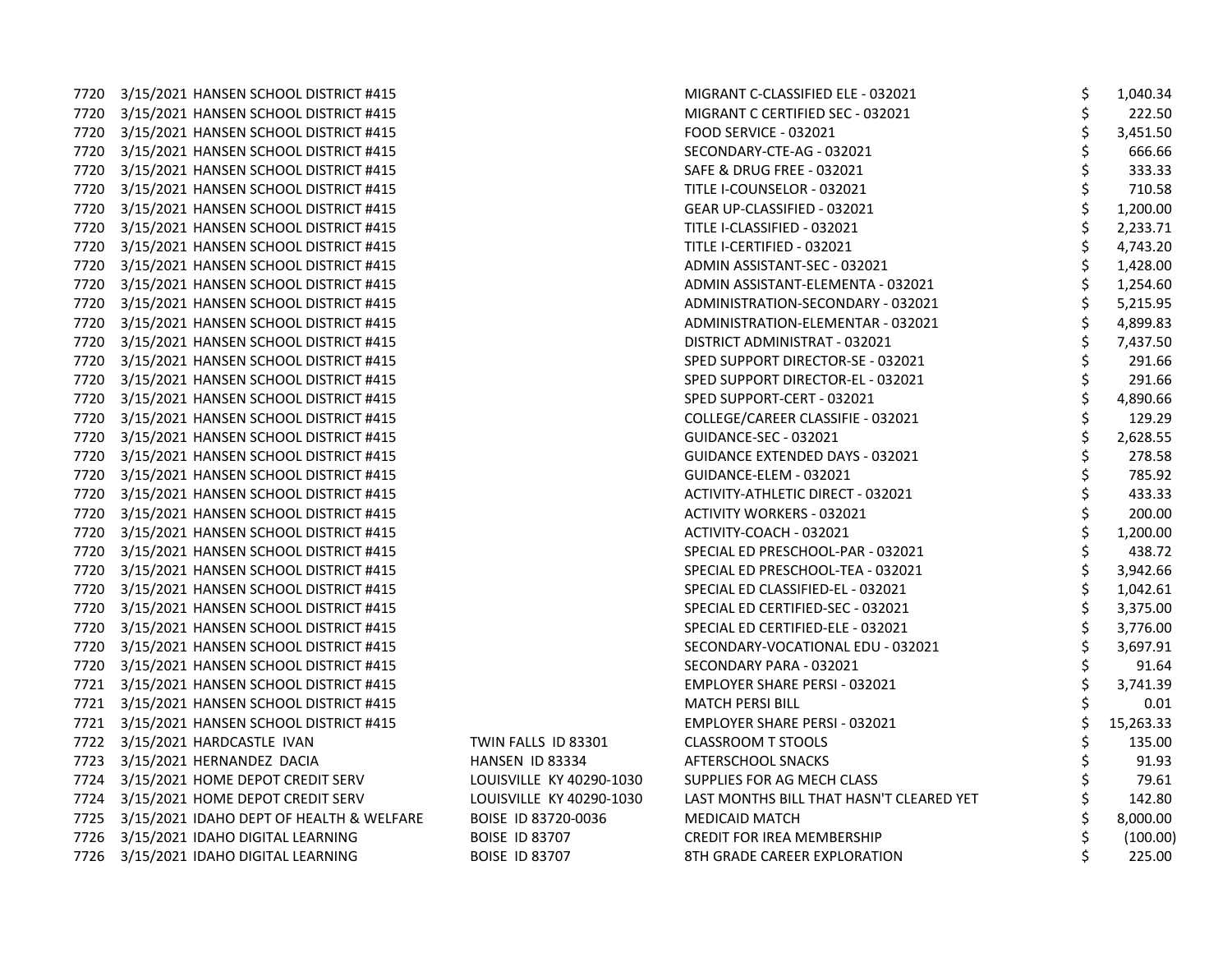7720 3/15/2021 HANSEN SCHOOL DISTRICT #415 7720 3/15/2021 HANSEN SCHOOL DISTRICT #415 7720 3/15/2021 HANSEN SCHOOL DISTRICT #415 7720 3/15/2021 HANSEN SCHOOL DISTRICT #415 7720 3/15/2021 HANSEN SCHOOL DISTRICT #415 7720 3/15/2021 HANSEN SCHOOL DISTRICT #415 7720 3/15/2021 HANSEN SCHOOL DISTRICT #415 7720 3/15/2021 HANSEN SCHOOL DISTRICT #415 7720 3/15/2021 HANSEN SCHOOL DISTRICT #415 7720 3/15/2021 HANSEN SCHOOL DISTRICT #415 7720 3/15/2021 HANSEN SCHOOL DISTRICT #415 7720 3/15/2021 HANSEN SCHOOL DISTRICT #415 7720 3/15/2021 HANSEN SCHOOL DISTRICT #415 7720 3/15/2021 HANSEN SCHOOL DISTRICT #415 7720 3/15/2021 HANSEN SCHOOL DISTRICT #415 7720 3/15/2021 HANSEN SCHOOL DISTRICT #415 7720 3/15/2021 HANSEN SCHOOL DISTRICT #415 7720 3/15/2021 HANSEN SCHOOL DISTRICT #415 7720 3/15/2021 HANSEN SCHOOL DISTRICT #415 7720 3/15/2021 HANSEN SCHOOL DISTRICT #415 7720 3/15/2021 HANSEN SCHOOL DISTRICT #415 7720 3/15/2021 HANSEN SCHOOL DISTRICT #415 7720 3/15/2021 HANSEN SCHOOL DISTRICT #415 7720 3/15/2021 HANSEN SCHOOL DISTRICT #415 7720 3/15/2021 HANSEN SCHOOL DISTRICT #415 7720 3/15/2021 HANSEN SCHOOL DISTRICT #415 7720 3/15/2021 HANSEN SCHOOL DISTRICT #415 7720 3/15/2021 HANSEN SCHOOL DISTRICT #415 7720 3/15/2021 HANSEN SCHOOL DISTRICT #415 7720 3/15/2021 HANSEN SCHOOL DISTRICT #415 7720 3/15/2021 HANSEN SCHOOL DISTRICT #415 7721 3/15/2021 HANSEN SCHOOL DISTRICT #415 7721 3/15/2021 HANSEN SCHOOL DISTRICT #415 7721 3/15/2021 HANSEN SCHOOL DISTRICT #415 7722 3/15/2021 HARDCASTLE IVAN TWIN FALLS ID 83301 7723 3/15/2021 HERNANDEZ DACIA HANSEN ID 83334 AFTERSCHOOL SNACKS \$ 91.93 7724 3/15/2021 HOME DEPOT CREDIT SERV LOUISVILLE KY 40290-1030 7724 3/15/2021 HOME DEPOT CREDIT SERV LOUISVILLE KY 40290-1030 7725 3/15/2021 IDAHO DEPT OF HEALTH & WELFARE BOISE ID 83720-0036 7726 3/15/2021 IDAHO DIGITAL LEARNING BOISE ID 83707 7726 3/15/2021 IDAHO DIGITAL LEARNING BOISE ID 83707

| MIGRANT C-CLASSIFIED ELE - 032021        | \$       | 1,040.34  |
|------------------------------------------|----------|-----------|
| MIGRANT C CERTIFIED SEC - 032021         | \$       | 222.50    |
| FOOD SERVICE - 032021                    | \$       | 3,451.50  |
| SECONDARY-CTE-AG - 032021                | \$       | 666.66    |
| SAFE & DRUG FREE - 032021                |          | 333.33    |
| TITLE I-COUNSELOR - 032021               | \$<br>\$ | 710.58    |
| GEAR UP-CLASSIFIED - 032021              |          | 1,200.00  |
| TITLE I-CLASSIFIED - 032021              | ややみや     | 2,233.71  |
| TITLE I-CERTIFIED - 032021               |          | 4,743.20  |
| ADMIN ASSISTANT-SEC - 032021             |          | 1,428.00  |
| ADMIN ASSISTANT-ELEMENTA - 032021        |          | 1,254.60  |
| ADMINISTRATION-SECONDARY - 032021        |          | 5,215.95  |
| ADMINISTRATION-ELEMENTAR - 032021        |          | 4,899.83  |
| DISTRICT ADMINISTRAT - 032021            |          | 7,437.50  |
| SPED SUPPORT DIRECTOR-SE - 032021        |          | 291.66    |
| SPED SUPPORT DIRECTOR-EL - 032021        |          | 291.66    |
| SPED SUPPORT-CERT - 032021               | さんそう     | 4,890.66  |
| COLLEGE/CAREER CLASSIFIE - 032021        |          | 129.29    |
| <b>GUIDANCE-SEC - 032021</b>             | \$       | 2,628.55  |
| GUIDANCE EXTENDED DAYS - 032021          |          | 278.58    |
| GUIDANCE-ELEM - 032021                   | ちゃやちゃ    | 785.92    |
| ACTIVITY-ATHLETIC DIRECT - 032021        |          | 433.33    |
| <b>ACTIVITY WORKERS - 032021</b>         |          | 200.00    |
| ACTIVITY-COACH - 032021                  |          | 1,200.00  |
| SPECIAL ED PRESCHOOL-PAR - 032021        |          | 438.72    |
| SPECIAL ED PRESCHOOL-TEA - 032021        |          | 3,942.66  |
| SPECIAL ED CLASSIFIED-EL - 032021        | \$\$\$   | 1,042.61  |
| SPECIAL ED CERTIFIED-SEC - 032021        |          | 3,375.00  |
| SPECIAL ED CERTIFIED-ELE - 032021        | \$       | 3,776.00  |
| SECONDARY-VOCATIONAL EDU - 032021        | \$       | 3,697.91  |
| SECONDARY PARA - 032021                  | \$       | 91.64     |
| EMPLOYER SHARE PERSI - 032021            |          | 3,741.39  |
| MATCH PERSI BILL                         | \$\$\$   | 0.01      |
| EMPLOYER SHARE PERSI - 032021            |          | 15,263.33 |
| <b>CLASSROOM T STOOLS</b>                | \$       | 135.00    |
| <b>AFTERSCHOOL SNACKS</b>                | \$<br>\$ | 91.93     |
| SUPPLIES FOR AG MECH CLASS               |          | 79.61     |
| LAST MONTHS BILL THAT HASN'T CLEARED YET |          | 142.80    |
| MEDICAID MATCH                           |          | 8,000.00  |
| CREDIT FOR IREA MEMBERSHIP               | \$\$\$   | (100.00)  |
| 8TH GRADE CAREER EXPLORATION             | \$       | 225.00    |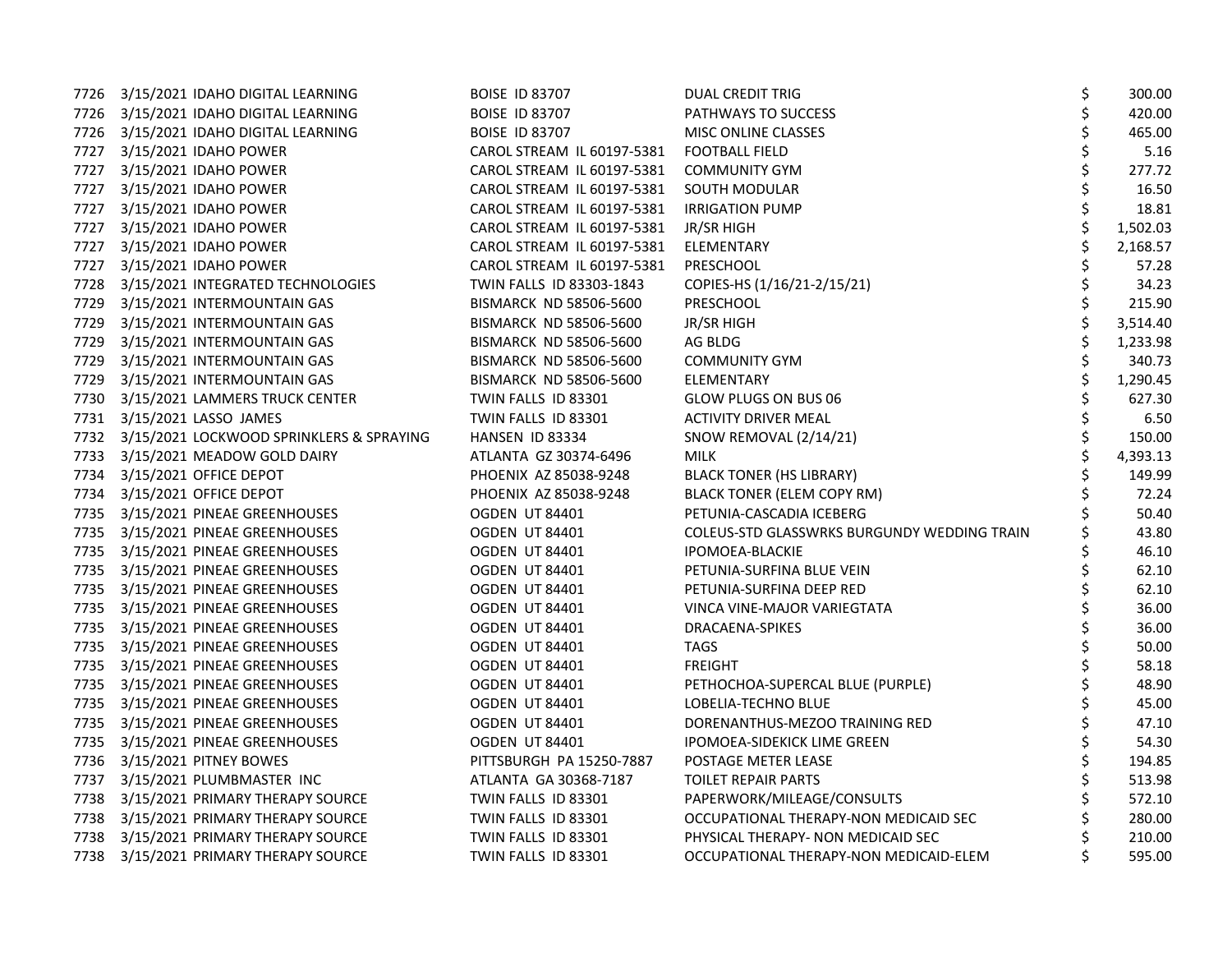|      | 7726 3/15/2021 IDAHO DIGITAL LEARNING         | <b>BOISE ID 83707</b>         | <b>DUAL CREDIT TRIG</b>                     | \$<br>300.00 |
|------|-----------------------------------------------|-------------------------------|---------------------------------------------|--------------|
|      | 7726 3/15/2021 IDAHO DIGITAL LEARNING         | <b>BOISE ID 83707</b>         | PATHWAYS TO SUCCESS                         | 420.00       |
|      | 7726 3/15/2021 IDAHO DIGITAL LEARNING         | <b>BOISE ID 83707</b>         | <b>MISC ONLINE CLASSES</b>                  | 465.00       |
|      | 7727 3/15/2021 IDAHO POWER                    | CAROL STREAM IL 60197-5381    | <b>FOOTBALL FIELD</b>                       | 5.16         |
|      | 7727 3/15/2021 IDAHO POWER                    | CAROL STREAM IL 60197-5381    | <b>COMMUNITY GYM</b>                        | \$<br>277.72 |
|      | 7727 3/15/2021 IDAHO POWER                    | CAROL STREAM IL 60197-5381    | SOUTH MODULAR                               | 16.50        |
|      | 7727 3/15/2021 IDAHO POWER                    | CAROL STREAM IL 60197-5381    | <b>IRRIGATION PUMP</b>                      | 18.81        |
|      | 7727 3/15/2021 IDAHO POWER                    | CAROL STREAM IL 60197-5381    | JR/SR HIGH                                  | 1,502.03     |
| 7727 | 3/15/2021 IDAHO POWER                         | CAROL STREAM IL 60197-5381    | ELEMENTARY                                  | 2,168.57     |
| 7727 | 3/15/2021 IDAHO POWER                         | CAROL STREAM IL 60197-5381    | PRESCHOOL                                   | 57.28        |
| 7728 | 3/15/2021 INTEGRATED TECHNOLOGIES             | TWIN FALLS ID 83303-1843      | COPIES-HS (1/16/21-2/15/21)                 | \$<br>34.23  |
|      | 7729 3/15/2021 INTERMOUNTAIN GAS              | BISMARCK ND 58506-5600        | PRESCHOOL                                   | 215.90       |
|      | 7729 3/15/2021 INTERMOUNTAIN GAS              | <b>BISMARCK ND 58506-5600</b> | JR/SR HIGH                                  | 3,514.40     |
| 7729 | 3/15/2021 INTERMOUNTAIN GAS                   | <b>BISMARCK ND 58506-5600</b> | AG BLDG                                     | 1,233.98     |
| 7729 | 3/15/2021 INTERMOUNTAIN GAS                   | BISMARCK ND 58506-5600        | <b>COMMUNITY GYM</b>                        | 340.73       |
| 7729 | 3/15/2021 INTERMOUNTAIN GAS                   | <b>BISMARCK ND 58506-5600</b> | <b>ELEMENTARY</b>                           | 1,290.45     |
|      | 7730 3/15/2021 LAMMERS TRUCK CENTER           | TWIN FALLS ID 83301           | GLOW PLUGS ON BUS 06                        | \$<br>627.30 |
|      | 7731 3/15/2021 LASSO JAMES                    | TWIN FALLS ID 83301           | <b>ACTIVITY DRIVER MEAL</b>                 | 6.50         |
|      | 7732 3/15/2021 LOCKWOOD SPRINKLERS & SPRAYING | HANSEN ID 83334               | SNOW REMOVAL (2/14/21)                      | 150.00       |
| 7733 | 3/15/2021 MEADOW GOLD DAIRY                   | ATLANTA GZ 30374-6496         | <b>MILK</b>                                 | 4,393.13     |
| 7734 | 3/15/2021 OFFICE DEPOT                        | PHOENIX AZ 85038-9248         | <b>BLACK TONER (HS LIBRARY)</b>             | 149.99       |
| 7734 | 3/15/2021 OFFICE DEPOT                        | PHOENIX AZ 85038-9248         | <b>BLACK TONER (ELEM COPY RM)</b>           | \$<br>72.24  |
|      | 7735 3/15/2021 PINEAE GREENHOUSES             | OGDEN UT 84401                | PETUNIA-CASCADIA ICEBERG                    | 50.40        |
|      | 7735 3/15/2021 PINEAE GREENHOUSES             | OGDEN UT 84401                | COLEUS-STD GLASSWRKS BURGUNDY WEDDING TRAIN | 43.80        |
|      | 7735 3/15/2021 PINEAE GREENHOUSES             | OGDEN UT 84401                | IPOMOEA-BLACKIE                             | 46.10        |
|      | 7735 3/15/2021 PINEAE GREENHOUSES             | OGDEN UT 84401                | PETUNIA-SURFINA BLUE VEIN                   | \$<br>62.10  |
|      | 7735 3/15/2021 PINEAE GREENHOUSES             | OGDEN UT 84401                | PETUNIA-SURFINA DEEP RED                    | 62.10        |
|      | 7735 3/15/2021 PINEAE GREENHOUSES             | OGDEN UT 84401                | VINCA VINE-MAJOR VARIEGTATA                 | \$<br>36.00  |
|      | 7735 3/15/2021 PINEAE GREENHOUSES             | OGDEN UT 84401                | DRACAENA-SPIKES                             | \$<br>36.00  |
|      | 7735 3/15/2021 PINEAE GREENHOUSES             | OGDEN UT 84401                | <b>TAGS</b>                                 | 50.00        |
|      | 7735 3/15/2021 PINEAE GREENHOUSES             | OGDEN UT 84401                | FREIGHT                                     | 58.18        |
|      | 7735 3/15/2021 PINEAE GREENHOUSES             | OGDEN UT 84401                | PETHOCHOA-SUPERCAL BLUE (PURPLE)            | \$<br>48.90  |
|      | 7735 3/15/2021 PINEAE GREENHOUSES             | OGDEN UT 84401                | LOBELIA-TECHNO BLUE                         | 45.00        |
|      | 7735 3/15/2021 PINEAE GREENHOUSES             | OGDEN UT 84401                | DORENANTHUS-MEZOO TRAINING RED              | \$<br>47.10  |
|      | 7735 3/15/2021 PINEAE GREENHOUSES             | OGDEN UT 84401                | IPOMOEA-SIDEKICK LIME GREEN                 | \$<br>54.30  |
|      | 7736 3/15/2021 PITNEY BOWES                   | PITTSBURGH PA 15250-7887      | POSTAGE METER LEASE                         | 194.85       |
|      | 7737 3/15/2021 PLUMBMASTER INC                | ATLANTA GA 30368-7187         | TOILET REPAIR PARTS                         | 513.98       |
| 7738 | 3/15/2021 PRIMARY THERAPY SOURCE              | TWIN FALLS ID 83301           | PAPERWORK/MILEAGE/CONSULTS                  | 572.10       |
|      | 7738 3/15/2021 PRIMARY THERAPY SOURCE         | TWIN FALLS ID 83301           | OCCUPATIONAL THERAPY-NON MEDICAID SEC       | 280.00       |
|      | 7738 3/15/2021 PRIMARY THERAPY SOURCE         | TWIN FALLS ID 83301           | PHYSICAL THERAPY- NON MEDICAID SEC          | 210.00       |
|      | 7738 3/15/2021 PRIMARY THERAPY SOURCE         | TWIN FALLS ID 83301           | OCCUPATIONAL THERAPY-NON MEDICAID-ELEM      | 595.00       |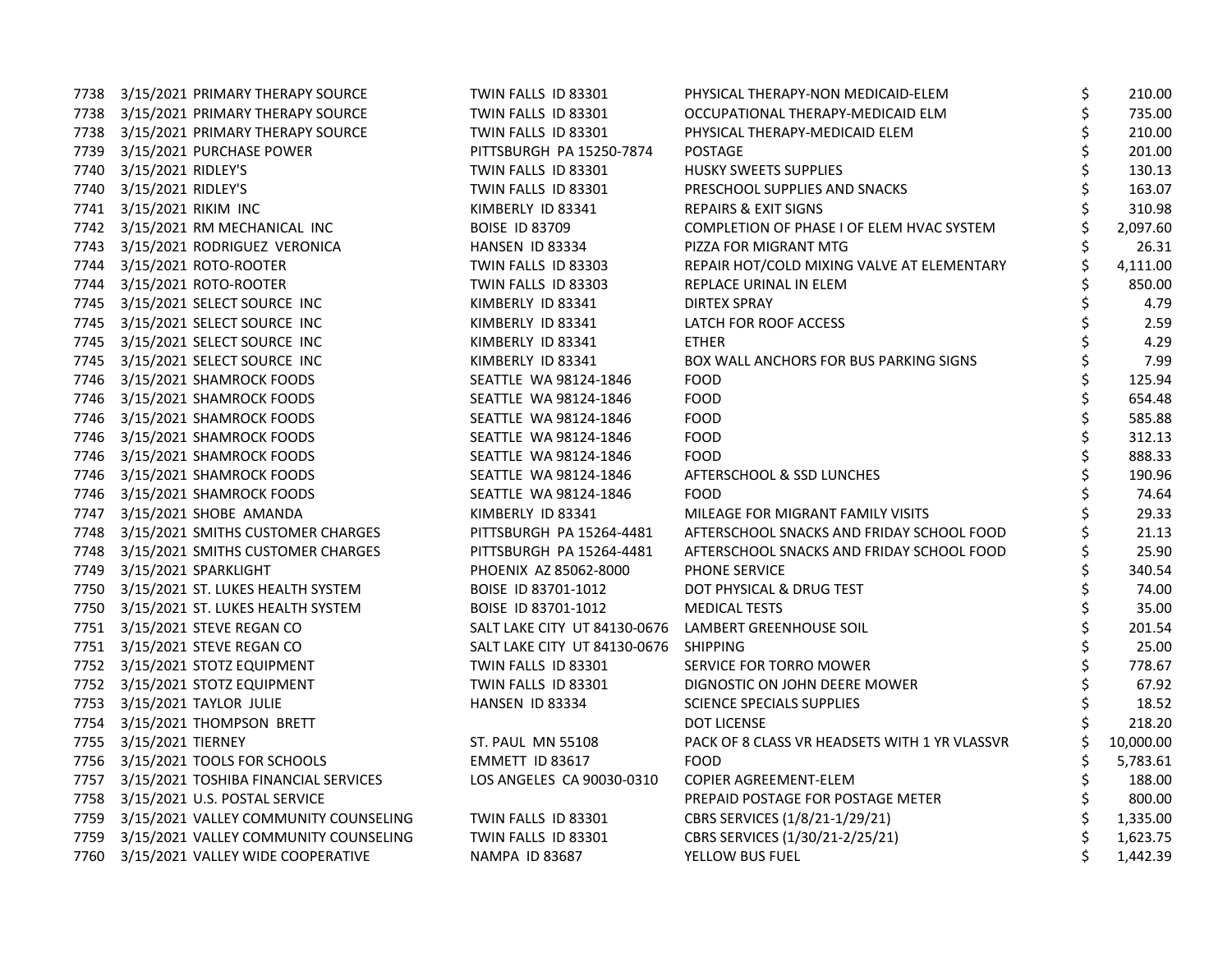| 7738 | 3/15/2021 PRIMARY THERAPY SOURCE           | TWIN FALLS ID 83301                                  | PHYSICAL THERAPY-NON MEDICAID-ELEM            | \$ | 210.00    |
|------|--------------------------------------------|------------------------------------------------------|-----------------------------------------------|----|-----------|
|      | 7738 3/15/2021 PRIMARY THERAPY SOURCE      | TWIN FALLS ID 83301                                  | OCCUPATIONAL THERAPY-MEDICAID ELM             | \$ | 735.00    |
|      | 7738 3/15/2021 PRIMARY THERAPY SOURCE      | TWIN FALLS ID 83301                                  | PHYSICAL THERAPY-MEDICAID ELEM                | \$ | 210.00    |
|      | 7739 3/15/2021 PURCHASE POWER              | PITTSBURGH PA 15250-7874                             | <b>POSTAGE</b>                                | \$ | 201.00    |
|      | 7740 3/15/2021 RIDLEY'S                    | TWIN FALLS ID 83301                                  | HUSKY SWEETS SUPPLIES                         | \$ | 130.13    |
|      | 7740 3/15/2021 RIDLEY'S                    | TWIN FALLS ID 83301                                  | PRESCHOOL SUPPLIES AND SNACKS                 |    | 163.07    |
|      | 7741 3/15/2021 RIKIM INC                   | KIMBERLY ID 83341                                    | <b>REPAIRS &amp; EXIT SIGNS</b>               |    | 310.98    |
|      | 7742 3/15/2021 RM MECHANICAL INC           | <b>BOISE ID 83709</b>                                | COMPLETION OF PHASE I OF ELEM HVAC SYSTEM     |    | 2,097.60  |
|      | 7743 3/15/2021 RODRIGUEZ VERONICA          | HANSEN ID 83334                                      | PIZZA FOR MIGRANT MTG                         |    | 26.31     |
| 7744 | 3/15/2021 ROTO-ROOTER                      | TWIN FALLS ID 83303                                  | REPAIR HOT/COLD MIXING VALVE AT ELEMENTARY    |    | 4,111.00  |
|      | 7744 3/15/2021 ROTO-ROOTER                 | TWIN FALLS ID 83303                                  | REPLACE URINAL IN ELEM                        |    | 850.00    |
|      | 7745 3/15/2021 SELECT SOURCE INC           | KIMBERLY ID 83341                                    | DIRTEX SPRAY                                  |    | 4.79      |
|      | 7745 3/15/2021 SELECT SOURCE INC           | KIMBERLY ID 83341                                    | LATCH FOR ROOF ACCESS                         |    | 2.59      |
|      | 7745 3/15/2021 SELECT SOURCE INC           | KIMBERLY ID 83341                                    | <b>ETHER</b>                                  |    | 4.29      |
|      | 7745 3/15/2021 SELECT SOURCE INC           | KIMBERLY ID 83341                                    | BOX WALL ANCHORS FOR BUS PARKING SIGNS        |    | 7.99      |
|      | 7746 3/15/2021 SHAMROCK FOODS              | SEATTLE WA 98124-1846                                | <b>FOOD</b>                                   | Ś. | 125.94    |
|      | 7746 3/15/2021 SHAMROCK FOODS              | SEATTLE WA 98124-1846                                | <b>FOOD</b>                                   | \$ | 654.48    |
|      | 7746 3/15/2021 SHAMROCK FOODS              | SEATTLE WA 98124-1846                                | FOOD                                          |    | 585.88    |
|      | 7746 3/15/2021 SHAMROCK FOODS              | SEATTLE WA 98124-1846                                | FOOD                                          | \$ | 312.13    |
|      | 7746 3/15/2021 SHAMROCK FOODS              | SEATTLE WA 98124-1846                                | <b>FOOD</b>                                   | \$ | 888.33    |
|      | 7746 3/15/2021 SHAMROCK FOODS              | SEATTLE WA 98124-1846                                | AFTERSCHOOL & SSD LUNCHES                     | \$ | 190.96    |
|      | 7746 3/15/2021 SHAMROCK FOODS              | SEATTLE WA 98124-1846                                | <b>FOOD</b>                                   | \$ | 74.64     |
|      | 7747 3/15/2021 SHOBE AMANDA                | KIMBERLY ID 83341                                    | MILEAGE FOR MIGRANT FAMILY VISITS             |    | 29.33     |
|      | 7748 3/15/2021 SMITHS CUSTOMER CHARGES     | PITTSBURGH PA 15264-4481                             | AFTERSCHOOL SNACKS AND FRIDAY SCHOOL FOOD     |    | 21.13     |
|      | 7748 3/15/2021 SMITHS CUSTOMER CHARGES     | PITTSBURGH PA 15264-4481                             | AFTERSCHOOL SNACKS AND FRIDAY SCHOOL FOOD     |    | 25.90     |
| 7749 | 3/15/2021 SPARKLIGHT                       | PHOENIX AZ 85062-8000                                | <b>PHONE SERVICE</b>                          |    | 340.54    |
|      | 7750 3/15/2021 ST. LUKES HEALTH SYSTEM     | BOISE ID 83701-1012                                  | DOT PHYSICAL & DRUG TEST                      |    | 74.00     |
|      | 7750 3/15/2021 ST. LUKES HEALTH SYSTEM     | BOISE ID 83701-1012                                  | <b>MEDICAL TESTS</b>                          | \$ | 35.00     |
|      | 7751 3/15/2021 STEVE REGAN CO              | SALT LAKE CITY UT 84130-0676 LAMBERT GREENHOUSE SOIL |                                               | \$ | 201.54    |
|      | 7751 3/15/2021 STEVE REGAN CO              | SALT LAKE CITY UT 84130-0676 SHIPPING                |                                               |    | 25.00     |
|      | 7752 3/15/2021 STOTZ EQUIPMENT             | TWIN FALLS ID 83301                                  | SERVICE FOR TORRO MOWER                       | \$ | 778.67    |
|      | 7752 3/15/2021 STOTZ EQUIPMENT             | TWIN FALLS ID 83301                                  | DIGNOSTIC ON JOHN DEERE MOWER                 | \$ | 67.92     |
|      | 7753 3/15/2021 TAYLOR JULIE                | HANSEN ID 83334                                      | <b>SCIENCE SPECIALS SUPPLIES</b>              |    | 18.52     |
| 7754 | 3/15/2021 THOMPSON BRETT                   |                                                      | <b>DOT LICENSE</b>                            |    | 218.20    |
|      | 7755 3/15/2021 TIERNEY                     | <b>ST. PAUL MN 55108</b>                             | PACK OF 8 CLASS VR HEADSETS WITH 1 YR VLASSVR |    | 10,000.00 |
|      | 7756 3/15/2021 TOOLS FOR SCHOOLS           | EMMETT ID 83617                                      | <b>FOOD</b>                                   |    | 5,783.61  |
|      | 7757 3/15/2021 TOSHIBA FINANCIAL SERVICES  | LOS ANGELES CA 90030-0310                            | COPIER AGREEMENT-ELEM                         |    | 188.00    |
|      | 7758 3/15/2021 U.S. POSTAL SERVICE         |                                                      | PREPAID POSTAGE FOR POSTAGE METER             |    | 800.00    |
|      | 7759 3/15/2021 VALLEY COMMUNITY COUNSELING | TWIN FALLS ID 83301                                  | CBRS SERVICES (1/8/21-1/29/21)                |    | 1,335.00  |
|      | 7759 3/15/2021 VALLEY COMMUNITY COUNSELING | TWIN FALLS ID 83301                                  | CBRS SERVICES (1/30/21-2/25/21)               |    | 1,623.75  |
|      | 7760 3/15/2021 VALLEY WIDE COOPERATIVE     | <b>NAMPA ID 83687</b>                                | YELLOW BUS FUEL                               |    | 1,442.39  |